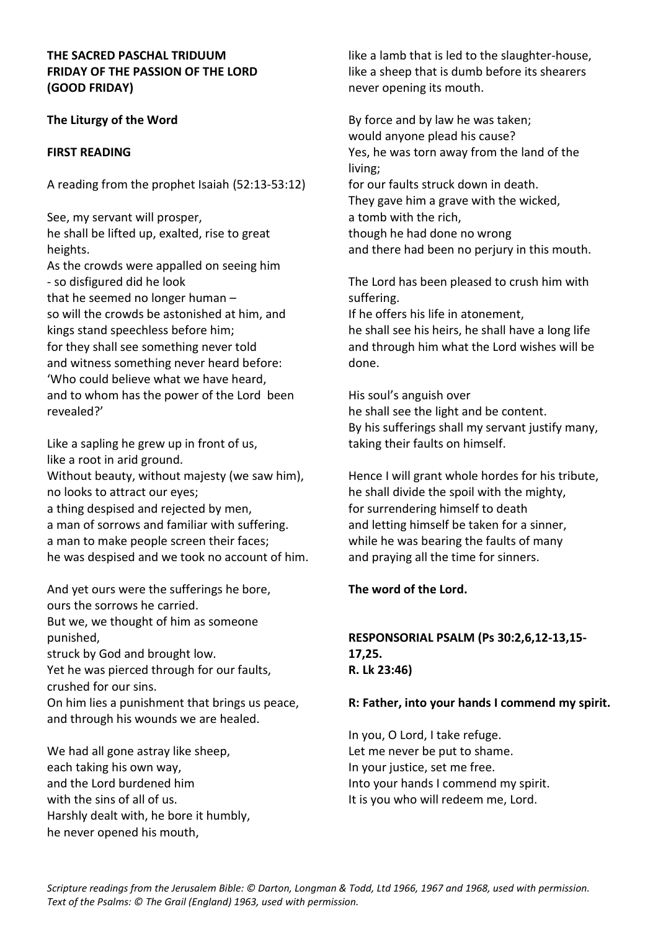### **THE SACRED PASCHAL TRIDUUM FRIDAY OF THE PASSION OF THE LORD (GOOD FRIDAY)**

## **The Liturgy of the Word**

## **FIRST READING**

A reading from the prophet Isaiah (52:13-53:12)

See, my servant will prosper, he shall be lifted up, exalted, rise to great heights.

As the crowds were appalled on seeing him - so disfigured did he look that he seemed no longer human – so will the crowds be astonished at him, and kings stand speechless before him; for they shall see something never told and witness something never heard before: 'Who could believe what we have heard, and to whom has the power of the Lord been revealed?'

Like a sapling he grew up in front of us, like a root in arid ground. Without beauty, without majesty (we saw him), no looks to attract our eyes; a thing despised and rejected by men, a man of sorrows and familiar with suffering. a man to make people screen their faces; he was despised and we took no account of him.

And yet ours were the sufferings he bore, ours the sorrows he carried. But we, we thought of him as someone punished,

struck by God and brought low.

Yet he was pierced through for our faults, crushed for our sins.

On him lies a punishment that brings us peace, and through his wounds we are healed.

We had all gone astray like sheep, each taking his own way, and the Lord burdened him with the sins of all of us. Harshly dealt with, he bore it humbly, he never opened his mouth,

like a lamb that is led to the slaughter-house, like a sheep that is dumb before its shearers never opening its mouth.

By force and by law he was taken; would anyone plead his cause? Yes, he was torn away from the land of the living; for our faults struck down in death. They gave him a grave with the wicked, a tomb with the rich, though he had done no wrong and there had been no perjury in this mouth.

The Lord has been pleased to crush him with suffering.

If he offers his life in atonement, he shall see his heirs, he shall have a long life and through him what the Lord wishes will be done.

His soul's anguish over he shall see the light and be content. By his sufferings shall my servant justify many, taking their faults on himself.

Hence I will grant whole hordes for his tribute, he shall divide the spoil with the mighty, for surrendering himself to death and letting himself be taken for a sinner, while he was bearing the faults of many and praying all the time for sinners.

## **The word of the Lord.**

# **RESPONSORIAL PSALM (Ps 30:2,6,12-13,15- 17,25. R. Lk 23:46)**

#### **R: Father, into your hands I commend my spirit.**

In you, O Lord, I take refuge. Let me never be put to shame. In your justice, set me free. Into your hands I commend my spirit. It is you who will redeem me, Lord.